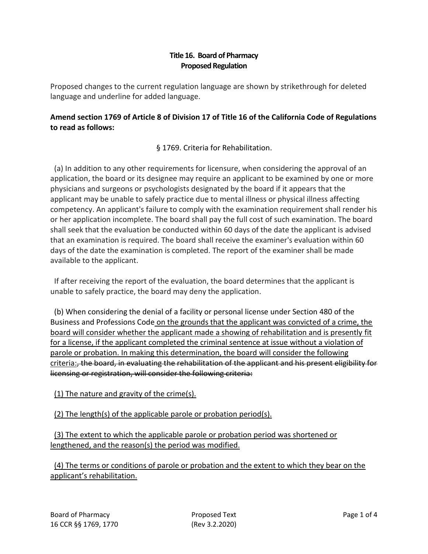## **Title 16. Board of Pharmacy Proposed Regulation**

Proposed changes to the current regulation language are shown by strikethrough for deleted language and underline for added language.

## **Amend section 1769 of Article 8 of Division 17 of Title 16 of the California Code of Regulations to read as follows:**

§ 1769. Criteria for Rehabilitation.

 (a) In addition to any other requirements for licensure, when considering the approval of an application, the board or its designee may require an applicant to be examined by one or more physicians and surgeons or psychologists designated by the board if it appears that the applicant may be unable to safely practice due to mental illness or physical illness affecting competency. An applicant's failure to comply with the examination requirement shall render his or her application incomplete. The board shall pay the full cost of such examination. The board shall seek that the evaluation be conducted within 60 days of the date the applicant is advised that an examination is required. The board shall receive the examiner's evaluation within 60 days of the date the examination is completed. The report of the examiner shall be made available to the applicant.

 If after receiving the report of the evaluation, the board determines that the applicant is unable to safely practice, the board may deny the application.

 (b) When considering the denial of a facility or personal license under Section 480 of the Business and Professions Code on the grounds that the applicant was convicted of a crime, the board will consider whether the applicant made a showing of rehabilitation and is presently fit for a license, if the applicant completed the criminal sentence at issue without a violation of parole or probation. In making this determination, the board will consider the following criteria:, the board, in evaluating the rehabilitation of the applicant and his present eligibility for licensing or registration, will consider the following criteria:

(1) The nature and gravity of the crime(s).

(2) The length(s) of the applicable parole or probation period(s).

 (3) The extent to which the applicable parole or probation period was shortened or lengthened, and the reason(s) the period was modified.

 (4) The terms or conditions of parole or probation and the extent to which they bear on the applicant's rehabilitation.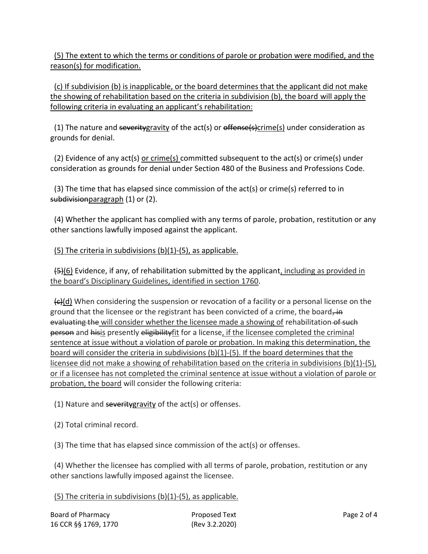(5) The extent to which the terms or conditions of parole or probation were modified, and the reason(s) for modification.

 (c) If subdivision (b) is inapplicable, or the board determines that the applicant did not make the showing of rehabilitation based on the criteria in subdivision (b), the board will apply the following criteria in evaluating an applicant's rehabilitation:

(1) The nature and severity gravity of the act(s) or  $\theta$  offense(s)crime(s) under consideration as grounds for denial.

 (2) Evidence of any act(s) or crime(s) committed subsequent to the act(s) or crime(s) under consideration as grounds for denial under Section 480 of the Business and Professions Code.

 (3) The time that has elapsed since commission of the act(s) or crime(s) referred to in subdivision paragraph (1) or (2).

 (4) Whether the applicant has complied with any terms of parole, probation, restitution or any other sanctions lawfully imposed against the applicant.

(5) The criteria in subdivisions (b)(1)-(5), as applicable.

 $\left(45\right)$ (6) Evidence, if any, of rehabilitation submitted by the applicant, including as provided in the board's Disciplinary Guidelines, identified in section 1760.

 $\left\{ \frac{\theta}{\theta} \right\}$  When considering the suspension or revocation of a facility or a personal license on the ground that the licensee or the registrant has been convicted of a crime, the board,  $\overline{a}$ evaluating the will consider whether the licensee made a showing of rehabilitation of such person and hisis presently eligibility fit for a license, if the licensee completed the criminal sentence at issue without a violation of parole or probation. In making this determination, the board will consider the criteria in subdivisions  $(b)(1)-(5)$ . If the board determines that the licensee did not make a showing of rehabilitation based on the criteria in subdivisions (b)(1)-(5), or if a licensee has not completed the criminal sentence at issue without a violation of parole or probation, the board will consider the following criteria:

(1) Nature and  $severity$ gravity of the act(s) or offenses.

(2) Total criminal record.

(3) The time that has elapsed since commission of the act(s) or offenses.

 (4) Whether the licensee has complied with all terms of parole, probation, restitution or any other sanctions lawfully imposed against the licensee.

(5) The criteria in subdivisions (b)(1)-(5), as applicable.

| Board of Pharmacy    |  |
|----------------------|--|
| 16 CCR §§ 1769, 1770 |  |

Proposed Text Proposed Text Page 2 of 4 (Rev 3.2.2020)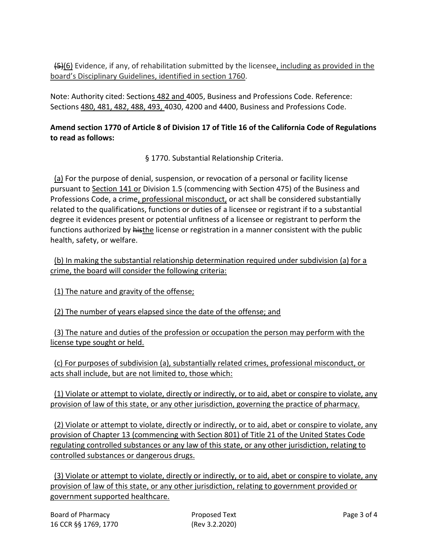(5)(6) Evidence, if any, of rehabilitation submitted by the licensee, including as provided in the board's Disciplinary Guidelines, identified in section 1760.

Note: Authority cited: Sections 482 and 4005, Business and Professions Code. Reference: Sections 480, 481, 482, 488, 493, 4030, 4200 and 4400, Business and Professions Code.

## **Amend section 1770 of Article 8 of Division 17 of Title 16 of the California Code of Regulations to read as follows:**

§ 1770. Substantial Relationship Criteria.

 (a) For the purpose of denial, suspension, or revocation of a personal or facility license pursuant to Section 141 or Division 1.5 (commencing with Section 475) of the Business and Professions Code, a crime, professional misconduct, or act shall be considered substantially related to the qualifications, functions or duties of a licensee or registrant if to a substantial degree it evidences present or potential unfitness of a licensee or registrant to perform the functions authorized by histhe license or registration in a manner consistent with the public health, safety, or welfare.

 (b) In making the substantial relationship determination required under subdivision (a) for a crime, the board will consider the following criteria:

(1) The nature and gravity of the offense;

(2) The number of years elapsed since the date of the offense; and

 (3) The nature and duties of the profession or occupation the person may perform with the license type sought or held.

 (c) For purposes of subdivision (a), substantially related crimes, professional misconduct, or acts shall include, but are not limited to, those which:

 (1) Violate or attempt to violate, directly or indirectly, or to aid, abet or conspire to violate, any provision of law of this state, or any other jurisdiction, governing the practice of pharmacy.

 (2) Violate or attempt to violate, directly or indirectly, or to aid, abet or conspire to violate, any provision of Chapter 13 (commencing with Section 801) of Title 21 of the United States Code regulating controlled substances or any law of this state, or any other jurisdiction, relating to controlled substances or dangerous drugs.

 (3) Violate or attempt to violate, directly or indirectly, or to aid, abet or conspire to violate, any provision of law of this state, or any other jurisdiction, relating to government provided or government supported healthcare.